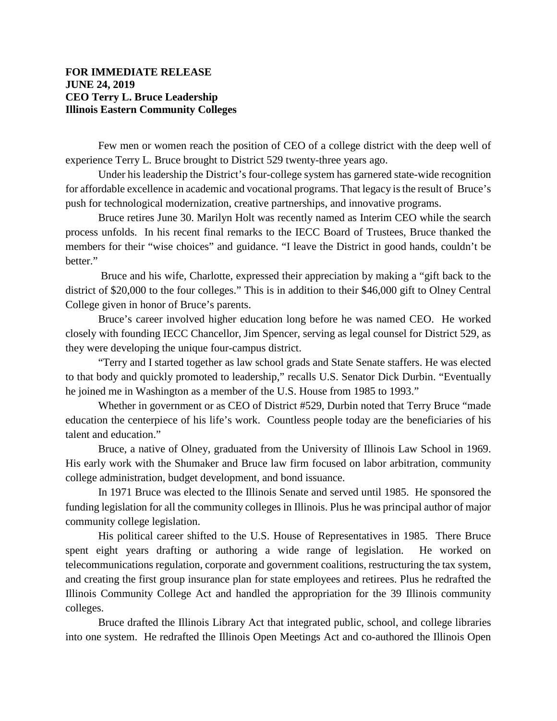## **FOR IMMEDIATE RELEASE JUNE 24, 2019 CEO Terry L. Bruce Leadership Illinois Eastern Community Colleges**

Few men or women reach the position of CEO of a college district with the deep well of experience Terry L. Bruce brought to District 529 twenty-three years ago.

Under his leadership the District's four-college system has garnered state-wide recognition for affordable excellence in academic and vocational programs. That legacy is the result of Bruce's push for technological modernization, creative partnerships, and innovative programs.

Bruce retires June 30. Marilyn Holt was recently named as Interim CEO while the search process unfolds. In his recent final remarks to the IECC Board of Trustees, Bruce thanked the members for their "wise choices" and guidance. "I leave the District in good hands, couldn't be better."

Bruce and his wife, Charlotte, expressed their appreciation by making a "gift back to the district of \$20,000 to the four colleges." This is in addition to their \$46,000 gift to Olney Central College given in honor of Bruce's parents.

Bruce's career involved higher education long before he was named CEO. He worked closely with founding IECC Chancellor, Jim Spencer, serving as legal counsel for District 529, as they were developing the unique four-campus district.

"Terry and I started together as law school grads and State Senate staffers. He was elected to that body and quickly promoted to leadership," recalls U.S. Senator Dick Durbin. "Eventually he joined me in Washington as a member of the U.S. House from 1985 to 1993."

Whether in government or as CEO of District #529, Durbin noted that Terry Bruce "made education the centerpiece of his life's work. Countless people today are the beneficiaries of his talent and education."

Bruce, a native of Olney, graduated from the University of Illinois Law School in 1969. His early work with the Shumaker and Bruce law firm focused on labor arbitration, community college administration, budget development, and bond issuance.

In 1971 Bruce was elected to the Illinois Senate and served until 1985. He sponsored the funding legislation for all the community colleges in Illinois. Plus he was principal author of major community college legislation.

His political career shifted to the U.S. House of Representatives in 1985. There Bruce spent eight years drafting or authoring a wide range of legislation. He worked on telecommunications regulation, corporate and government coalitions, restructuring the tax system, and creating the first group insurance plan for state employees and retirees. Plus he redrafted the Illinois Community College Act and handled the appropriation for the 39 Illinois community colleges.

Bruce drafted the Illinois Library Act that integrated public, school, and college libraries into one system. He redrafted the Illinois Open Meetings Act and co-authored the Illinois Open